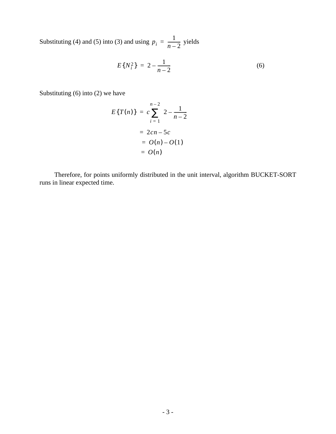Substituting (4) and (5) into (3) and using  $p_i = \frac{1}{n-2}$  yields *n* – 2  $=$  $\frac{1}{2}$ 

$$
E\{N_i^2\} = 2 - \frac{1}{n-2} \tag{6}
$$

Substituting (6) into (2) we have

$$
E{T(n)} = c \sum_{i=1}^{n-2} \left(2 - \frac{1}{n-2}\right)
$$
  
= 2cn - 5c  
= O(n) - O(1)  
= O(n)

Therefore, for points uniformly distributed in the unit interval, algorithm BUCKET-SORT runs in linear expected time.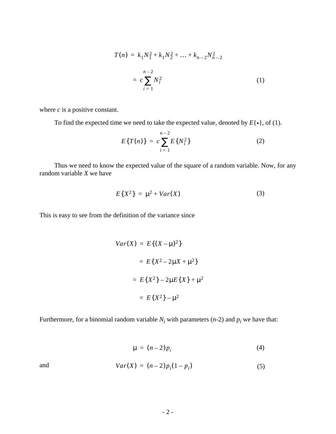$$
T(n) = k_1 N_1^2 + k_1 N_2^2 + \dots + k_{n-2} N_{n-2}^2
$$
  
=  $c \sum_{i=1}^{n-2} N_i^2$  (1)

where *c* is a positive constant.

To find the expected time we need to take the expected value, denoted by  $E\{\cdot\}$ , of (1).

$$
E\{T(n)\} = c \sum_{i=1}^{n-2} E\{N_i^2\}
$$
 (2)

Thus we need to know the expected value of the square of a random variable. Now, for any random variable *X* we have

$$
E\{X^2\} = \mu^2 + Var(X) \tag{3}
$$

This is easy to see from the definition of the variance since

$$
Var(X) = E\{(X - \mu)^2\}
$$
  
=  $E\{X^2 - 2\mu X + \mu^2\}$   
=  $E\{X^2\} - 2\mu E\{X\} + \mu^2$   
=  $E\{X^2\} - \mu^2$ 

Furthermore, for a binomial random variable  $N_i$  with parameters (*n*-2) and  $p_i$  we have that:

$$
\mu = (n-2)p_i \tag{4}
$$

and  $Var(X) = (n-2)p_i(1-p_i)$  (5)